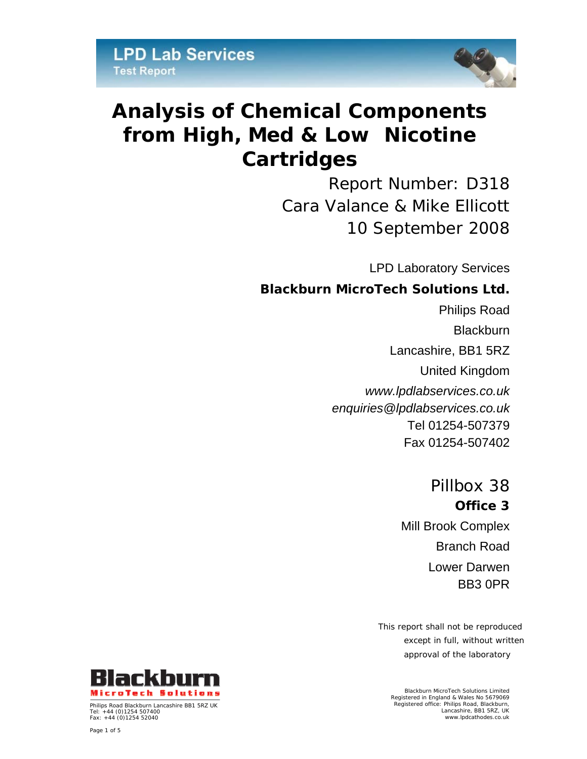

# **Analysis of Chemical Components from High, Med & Low Nicotine Cartridges**

Report Number: D318 Cara Valance & Mike Ellicott 10 September 2008

LPD Laboratory Services

# *Blackburn MicroTech Solutions Ltd.*

Philips Road **Blackburn** Lancashire, BB1 5RZ United Kingdom *www.lpdlabservices.co.uk enquiries@lpdlabservices.co.uk*  Tel 01254-507379 Fax 01254-507402

> Pillbox 38 *Office 3*  Mill Brook Complex Branch Road Lower Darwen BB3 0PR

This report shall not be reproduced except in full, without written approval of the laboratory

Blackburn MicroTech Solutions Limited Registered in England & Wales No 5679069 Registered office: Philips Road, Blackburn, Lancashire, BB1 5RZ, UK www.lpdcathodes.co.uk



Philips Road Blackburn Lancashire BB1 5RZ UK Tel: +44 (0)1254 507400 Fax: +44 (0)1254 52040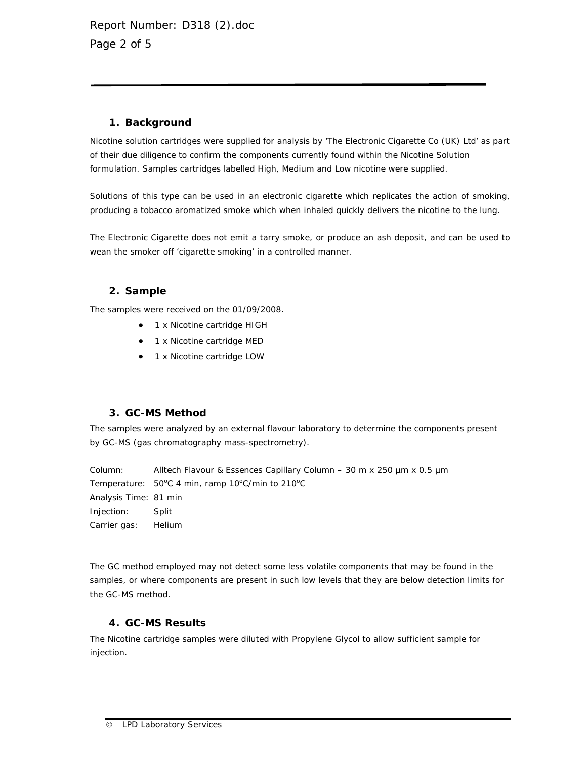#### **1. Background**

Nicotine solution cartridges were supplied for analysis by 'The Electronic Cigarette Co (UK) Ltd' as part of their due diligence to confirm the components currently found within the Nicotine Solution formulation. Samples cartridges labelled High, Medium and Low nicotine were supplied.

Solutions of this type can be used in an electronic cigarette which replicates the action of smoking, producing a tobacco aromatized smoke which when inhaled quickly delivers the nicotine to the lung.

The Electronic Cigarette does not emit a tarry smoke, or produce an ash deposit, and can be used to wean the smoker off 'cigarette smoking' in a controlled manner.

# **2. Sample**

The samples were received on the 01/09/2008.

- 1 x Nicotine cartridge HIGH
- 1 x Nicotine cartridge MED
- 1 x Nicotine cartridge LOW

#### **3. GC-MS Method**

The samples were analyzed by an external flavour laboratory to determine the components present by GC-MS (gas chromatography mass-spectrometry).

Column: Alltech Flavour & Essences Capillary Column – 30 m x 250 µm x 0.5 µm Temperature:  $50^{\circ}$ C 4 min, ramp 10°C/min to 210°C Analysis Time: 81 min Injection: Split Carrier gas: Helium

The GC method employed may not detect some less volatile components that may be found in the samples, or where components are present in such low levels that they are below detection limits for the GC-MS method.

# **4. GC-MS Results**

The Nicotine cartridge samples were diluted with Propylene Glycol to allow sufficient sample for injection.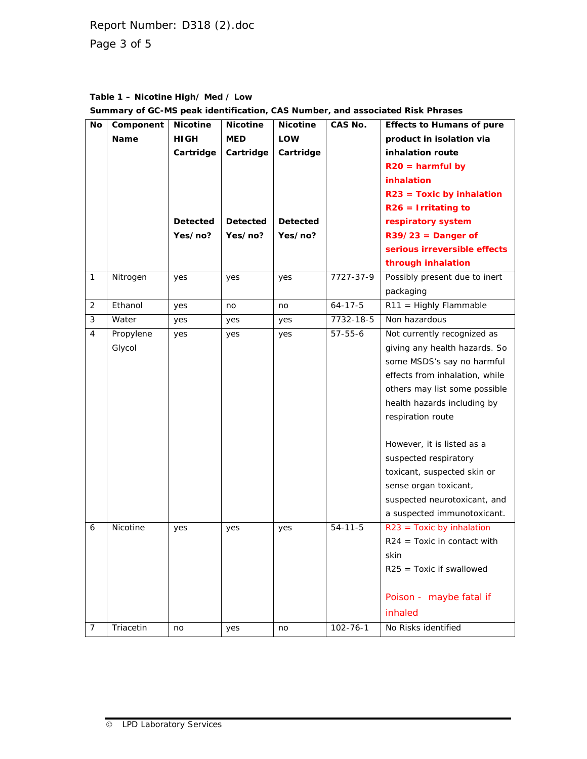Report Number: D318 (2).doc Page 3 of 5

# **Table 1 – Nicotine High/ Med / Low Summary of GC-MS peak identification, CAS Number, and associated Risk Phrases**

| No             | Component   | <b>Nicotine</b> | <b>Nicotine</b> | <b>Nicotine</b> | CAS No.        | <b>Effects to Humans of pure</b> |
|----------------|-------------|-----------------|-----------------|-----------------|----------------|----------------------------------|
|                | <b>Name</b> | <b>HIGH</b>     | <b>MED</b>      | <b>LOW</b>      |                | product in isolation via         |
|                |             | Cartridge       | Cartridge       | Cartridge       |                | inhalation route                 |
|                |             |                 |                 |                 |                | $R20 = \text{harmful by}$        |
|                |             |                 |                 |                 |                | inhalation                       |
|                |             |                 |                 |                 |                | $R23$ = Toxic by inhalation      |
|                |             |                 |                 |                 |                | $R26 = Irritating to$            |
|                |             | <b>Detected</b> | <b>Detected</b> | <b>Detected</b> |                | respiratory system               |
|                |             | Yes/no?         | Yes/no?         | Yes/no?         |                | $R39/23$ = Danger of             |
|                |             |                 |                 |                 |                | serious irreversible effects     |
|                |             |                 |                 |                 |                | through inhalation               |
| 1              | Nitrogen    | yes             | yes             | yes             | 7727-37-9      | Possibly present due to inert    |
|                |             |                 |                 |                 |                | packaging                        |
| 2              | Ethanol     | yes             | no              | no              | $64 - 17 - 5$  | $R11 =$ Highly Flammable         |
| 3              | Water       | yes             | yes             | yes             | 7732-18-5      | Non hazardous                    |
| 4              | Propylene   | yes             | yes             | yes             | $57 - 55 - 6$  | Not currently recognized as      |
|                | Glycol      |                 |                 |                 |                | giving any health hazards. So    |
|                |             |                 |                 |                 |                | some MSDS's say no harmful       |
|                |             |                 |                 |                 |                | effects from inhalation, while   |
|                |             |                 |                 |                 |                | others may list some possible    |
|                |             |                 |                 |                 |                | health hazards including by      |
|                |             |                 |                 |                 |                | respiration route                |
|                |             |                 |                 |                 |                | However, it is listed as a       |
|                |             |                 |                 |                 |                | suspected respiratory            |
|                |             |                 |                 |                 |                | toxicant, suspected skin or      |
|                |             |                 |                 |                 |                | sense organ toxicant,            |
|                |             |                 |                 |                 |                | suspected neurotoxicant, and     |
|                |             |                 |                 |                 |                | a suspected immunotoxicant.      |
| 6              | Nicotine    | yes             | yes             | yes             | $54 - 11 - 5$  | $R23$ = Toxic by inhalation      |
|                |             |                 |                 |                 |                | $R24$ = Toxic in contact with    |
|                |             |                 |                 |                 |                | skin                             |
|                |             |                 |                 |                 |                | $R25$ = Toxic if swallowed       |
|                |             |                 |                 |                 |                |                                  |
|                |             |                 |                 |                 |                | Poison - maybe fatal if          |
|                |             |                 |                 |                 |                | inhaled                          |
| $\overline{7}$ | Triacetin   | no              | yes             | no              | $102 - 76 - 1$ | No Risks identified              |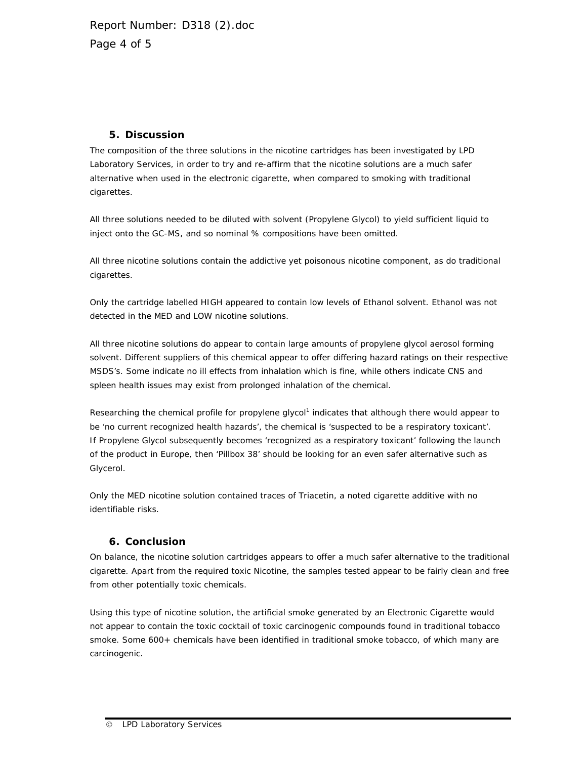Report Number: D318 (2).doc Page 4 of 5

# **5. Discussion**

The composition of the three solutions in the nicotine cartridges has been investigated by LPD Laboratory Services, in order to try and re-affirm that the nicotine solutions are a much safer alternative when used in the electronic cigarette, when compared to smoking with traditional cigarettes.

All three solutions needed to be diluted with solvent (Propylene Glycol) to yield sufficient liquid to inject onto the GC-MS, and so nominal % compositions have been omitted.

All three nicotine solutions contain the addictive yet poisonous nicotine component, as do traditional cigarettes.

Only the cartridge labelled HIGH appeared to contain low levels of Ethanol solvent. Ethanol was not detected in the MED and LOW nicotine solutions.

All three nicotine solutions do appear to contain large amounts of propylene glycol aerosol forming solvent. Different suppliers of this chemical appear to offer differing hazard ratings on their respective MSDS's. Some indicate no ill effects from inhalation which is fine, while others indicate CNS and spleen health issues may exist from prolonged inhalation of the chemical.

Researching the chemical profile for propylene glycol<sup>1</sup> indicates that although there would appear to be 'no current recognized health hazards', the chemical is 'suspected to be a respiratory toxicant'. If Propylene Glycol subsequently becomes 'recognized as a respiratory toxicant' following the launch of the product in Europe, then 'Pillbox 38' should be looking for an even safer alternative such as Glycerol.

Only the MED nicotine solution contained traces of Triacetin, a noted cigarette additive with no identifiable risks.

#### **6. Conclusion**

On balance, the nicotine solution cartridges appears to offer a much safer alternative to the traditional cigarette. Apart from the required toxic Nicotine, the samples tested appear to be fairly clean and free from other potentially toxic chemicals.

Using this type of nicotine solution, the artificial smoke generated by an Electronic Cigarette would not appear to contain the toxic cocktail of toxic carcinogenic compounds found in traditional tobacco smoke. Some 600+ chemicals have been identified in traditional smoke tobacco, of which many are carcinogenic.